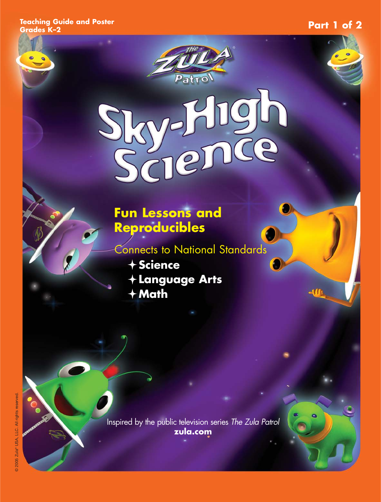**Teaching Guide and Poster**

#### **Grades K–2 Part 1 of 2**

W

# Patro O  $-50$

### **Fun Lessons and Reproducibles**

Connects to National Standards

**Science Language Arts Math**

Inspired by the public television series The Zula Patrol **zula.com**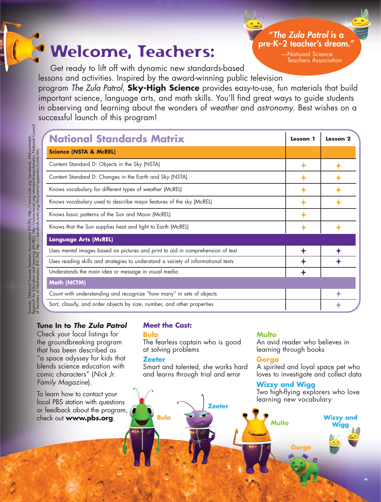### Welcome, Teachers**:**

**pre-K–2 teacher's dream."** —National Science

Teachers Association

**"The Zula Patrol is a** 

Get ready to lift off with dynamic new standards-based lessons and activities. Inspired by the award-winning public television

program The Zula Patrol, **Sky-High Science** provides easy-to-use, fun materials that build important science, language arts, and math skills. You'll find great ways to guide students in observing and learning about the wonders of weather and astronomy. Best wishes on a successful launch of this program!

| <b>National Standards Matrix</b>                                                  | <b>Lesson</b> 1 | Lesson 2 |
|-----------------------------------------------------------------------------------|-----------------|----------|
| <b>Science (NSTA &amp; McREL)</b>                                                 |                 |          |
| Content Standard D: Objects in the Sky (NSTA)                                     |                 |          |
| Content Standard D: Changes in the Earth and Sky (NSTA)                           |                 |          |
| Knows vocabulary for different types of weather (McREL)                           |                 |          |
| Knows vocabulary used to describe major features of the sky (McREL)               |                 |          |
| Knows basic patterns of the Sun and Moon (McREL)                                  |                 |          |
| Knows that the Sun supplies heat and light to Earth (McREL)                       |                 |          |
| <b>Language Arts (McREL)</b>                                                      |                 |          |
| Uses mental images based on pictures and print to aid in comprehension of text    |                 |          |
| Uses reading skills and strategies to understand a variety of informational texts |                 |          |
| Understands the main idea or message in visual media                              |                 |          |
| Math (NCTM)                                                                       |                 |          |
| Count with understanding and recognize "how many" in sets of objects              |                 |          |
| Sort, classify, and order objects by size, number, and other properties           |                 |          |

#### **Tune In to The Zula Patrol**

Check your local listings for the groundbreaking program that has been described as "a space odyssey for kids that blends science education with comic characters" (Nick Jr. Family Magazine).

To learn how to contact your local PBS station with questions or feedback about the program, check out **www.pbs.org**.

#### **Meet the Cast:**

#### **Bula**

The fearless captain who is good at solving problems

#### **Zeeter**

**Bula**

Smart and talented, she works hard and learns through trial and error

**Zeeter**

#### **Multo**

An avid reader who believes in learning through books

#### **Gorga**

A spirited and loyal space pet who loves to investigate and collect data

#### **Wizzy and Wigg**

Two high-flying explorers who love learning new vocabulary

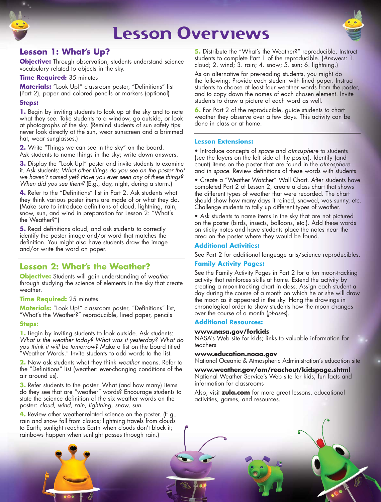### Lesson Overviews



#### **Lesson 1: What's Up?**

**Objective:** Through observation, students understand science vocabulary related to objects in the sky.

#### **Time Required:** 35 minutes

**Materials:** "Look Up!" classroom poster, "Definitions" list (Part 2), paper and colored pencils or markers (optional)

#### **Steps:**

**1.** Begin by inviting students to look up at the sky and to note what they see. Take students to a window, go outside, or look at photographs of the sky. (Remind students of sun safety tips: never look directly at the sun, wear sunscreen and a brimmed hat, wear sunglasses.)

**2.** Write "Things we can see in the sky" on the board. Ask students to name things in the sky; write down answers.

**3.** Display the "Look Up!" poster and invite students to examine it. Ask students: What other things do you see on the poster that we haven't named yet? Have you ever seen any of these things? When did you see them? (E.g., day, night, during a storm.)

**4.** Refer to the "Definitions" list in Part 2. Ask students what they think various poster items are made of or what they do. (Make sure to introduce definitions of cloud, lightning, rain, snow, sun, and wind in preparation for Lesson 2: "What's the Weather?")

**5.** Read definitions aloud, and ask students to correctly identify the poster image and/or word that matches the definition. You might also have students draw the image and/or write the word on paper.

#### **Lesson 2: What's the Weather?**

**Objective:** Students will gain understanding of weather through studying the science of elements in the sky that create weather.

#### **Time Required:** 25 minutes

**Materials:** "Look Up!" classroom poster, "Definitions" list, "What's the Weather?" reproducible, lined paper, pencils

#### **Steps:**

**1.** Begin by inviting students to look outside. Ask students: What is the weather today? What was it yesterday? What do you think it will be tomorrow? Make a list on the board titled "Weather Words." Invite students to add words to the list.

**2.** Now ask students what they think weather means. Refer to the "Definitions" list (weather: ever-changing conditions of the air around us).

**3.** Refer students to the poster. What (and how many) items do they see that are "weather" words? Encourage students to state the science definition of the six weather words on the poster: cloud, wind, rain, lightning, snow, sun.

**4.** Review other weather-related science on the poster. (E.g., rain and snow fall from clouds; lightning travels from clouds to Earth; sunlight reaches Earth when clouds don't block it; rainbows happen when sunlight passes through rain.)

**5.** Distribute the "What's the Weather?" reproducible. Instruct students to complete Part 1 of the reproducible. (Answers: 1. cloud; 2. wind; 3. rain; 4. snow; 5. sun; 6. lightning.)

As an alternative for pre-reading students, you might do the following: Provide each student with lined paper. Instruct students to choose at least four weather words from the poster, and to copy down the names of each chosen element. Invite students to draw a picture of each word as well.

**6.** For Part 2 of the reproducible, guide students to chart weather they observe over a few days. This activity can be done in class or at home.

#### **Lesson Extensions:**

• Introduce concepts of space and atmosphere to students (see the layers on the left side of the poster). Identify (and count) items on the poster that are found in the atmosphere and in space. Review definitions of these words with students.

• Create a "Weather Watcher" Wall Chart. After students have completed Part 2 of Lesson 2, create a class chart that shows the different types of weather that were recorded. The chart should show how many days it rained, snowed, was sunny, etc. Challenge students to tally up different types of weather.

• Ask students to name items in the sky that are not pictured on the poster (birds, insects, balloons, etc.). Add these words on sticky notes and have students place the notes near the area on the poster where they would be found.

#### **Additional Activities:**

See Part 2 for additional language arts/science reproducibles.

#### **Family Activity Pages:**

See the Family Activity Pages in Part 2 for a fun moon-tracking activity that reinforces skills at home. Extend the activity by creating a moon-tracking chart in class. Assign each student a day during the course of a month on which he or she will draw the moon as it appeared in the sky. Hang the drawings in chronological order to show students how the moon changes over the course of a month (phases).

#### **Additional Resources:**

#### **www.nasa.gov/forkids**

NASA's Web site for kids; links to valuable information for teachers

#### **www.education.noaa.gov**

National Oceanic & Atmospheric Administration's education site

**www.weather.gov/om/reachout/kidspage.shtml** National Weather Service's Web site for kids; fun facts and information for classrooms

Also, visit **zula.com** for more great lessons, educational activities, games, and resources.